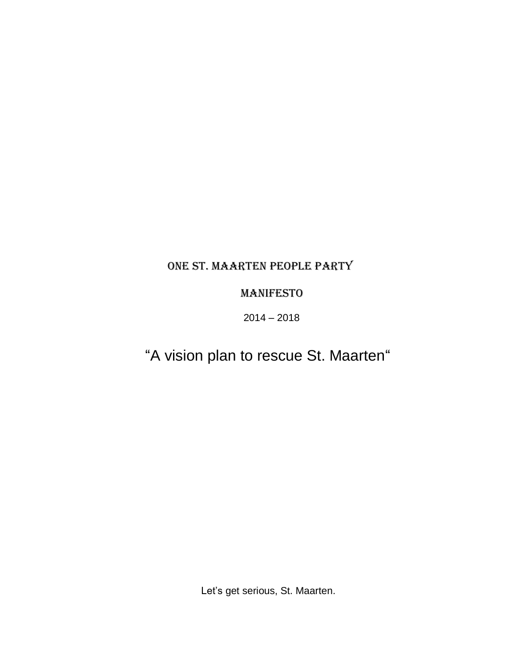# ONE ST. MAARTEN PEOPLE PARTY

## MANIFESTO

 $2014 - 2018$ 

# "A vision plan to rescue St. Maarten"

Let's get serious, St. Maarten.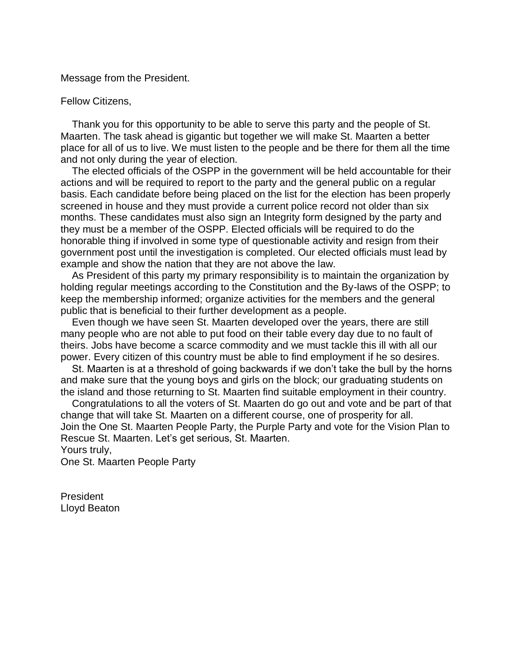Message from the President.

#### Fellow Citizens,

 Thank you for this opportunity to be able to serve this party and the people of St. Maarten. The task ahead is gigantic but together we will make St. Maarten a better place for all of us to live. We must listen to the people and be there for them all the time and not only during the year of election.

 The elected officials of the OSPP in the government will be held accountable for their actions and will be required to report to the party and the general public on a regular basis. Each candidate before being placed on the list for the election has been properly screened in house and they must provide a current police record not older than six months. These candidates must also sign an Integrity form designed by the party and they must be a member of the OSPP. Elected officials will be required to do the honorable thing if involved in some type of questionable activity and resign from their government post until the investigation is completed. Our elected officials must lead by example and show the nation that they are not above the law.

 As President of this party my primary responsibility is to maintain the organization by holding regular meetings according to the Constitution and the By-laws of the OSPP; to keep the membership informed; organize activities for the members and the general public that is beneficial to their further development as a people.

 Even though we have seen St. Maarten developed over the years, there are still many people who are not able to put food on their table every day due to no fault of theirs. Jobs have become a scarce commodity and we must tackle this ill with all our power. Every citizen of this country must be able to find employment if he so desires.

 St. Maarten is at a threshold of going backwards if we don't take the bull by the horns and make sure that the young boys and girls on the block; our graduating students on the island and those returning to St. Maarten find suitable employment in their country.

 Congratulations to all the voters of St. Maarten do go out and vote and be part of that change that will take St. Maarten on a different course, one of prosperity for all. Join the One St. Maarten People Party, the Purple Party and vote for the Vision Plan to Rescue St. Maarten. Let's get serious, St. Maarten. Yours truly,

One St. Maarten People Party

**President** Lloyd Beaton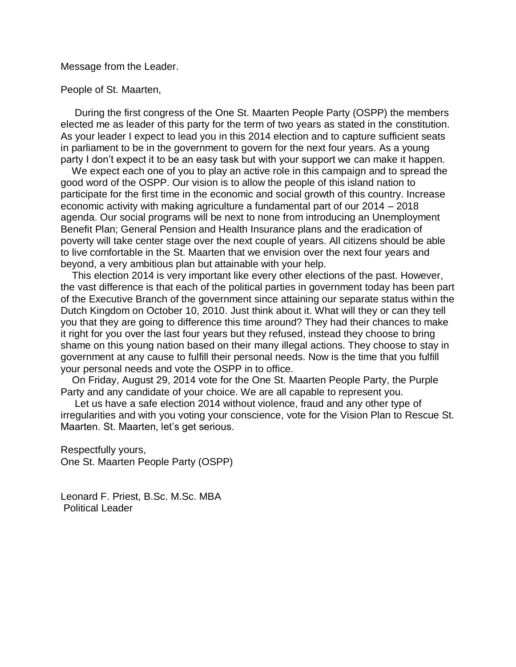Message from the Leader.

People of St. Maarten,

 During the first congress of the One St. Maarten People Party (OSPP) the members elected me as leader of this party for the term of two years as stated in the constitution. As your leader I expect to lead you in this 2014 election and to capture sufficient seats in parliament to be in the government to govern for the next four years. As a young party I don't expect it to be an easy task but with your support we can make it happen.

 We expect each one of you to play an active role in this campaign and to spread the good word of the OSPP. Our vision is to allow the people of this island nation to participate for the first time in the economic and social growth of this country. Increase economic activity with making agriculture a fundamental part of our 2014 – 2018 agenda. Our social programs will be next to none from introducing an Unemployment Benefit Plan; General Pension and Health Insurance plans and the eradication of poverty will take center stage over the next couple of years. All citizens should be able to live comfortable in the St. Maarten that we envision over the next four years and beyond, a very ambitious plan but attainable with your help.

 This election 2014 is very important like every other elections of the past. However, the vast difference is that each of the political parties in government today has been part of the Executive Branch of the government since attaining our separate status within the Dutch Kingdom on October 10, 2010. Just think about it. What will they or can they tell you that they are going to difference this time around? They had their chances to make it right for you over the last four years but they refused, instead they choose to bring shame on this young nation based on their many illegal actions. They choose to stay in government at any cause to fulfill their personal needs. Now is the time that you fulfill your personal needs and vote the OSPP in to office.

 On Friday, August 29, 2014 vote for the One St. Maarten People Party, the Purple Party and any candidate of your choice. We are all capable to represent you.

 Let us have a safe election 2014 without violence, fraud and any other type of irregularities and with you voting your conscience, vote for the Vision Plan to Rescue St. Maarten. St. Maarten, let's get serious.

Respectfully yours, One St. Maarten People Party (OSPP)

Leonard F. Priest, B.Sc. M.Sc. MBA Political Leader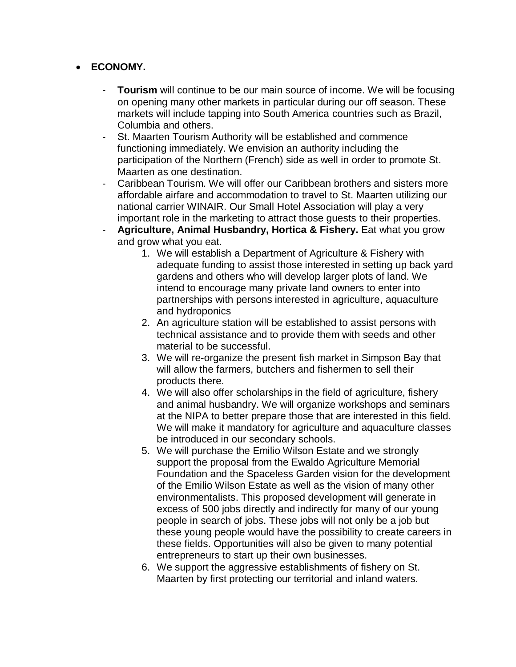## **ECONOMY.**

- **Tourism** will continue to be our main source of income. We will be focusing on opening many other markets in particular during our off season. These markets will include tapping into South America countries such as Brazil, Columbia and others.
- St. Maarten Tourism Authority will be established and commence functioning immediately. We envision an authority including the participation of the Northern (French) side as well in order to promote St. Maarten as one destination.
- Caribbean Tourism. We will offer our Caribbean brothers and sisters more affordable airfare and accommodation to travel to St. Maarten utilizing our national carrier WINAIR. Our Small Hotel Association will play a very important role in the marketing to attract those guests to their properties.
- **Agriculture, Animal Husbandry, Hortica & Fishery.** Eat what you grow and grow what you eat.
	- 1. We will establish a Department of Agriculture & Fishery with adequate funding to assist those interested in setting up back yard gardens and others who will develop larger plots of land. We intend to encourage many private land owners to enter into partnerships with persons interested in agriculture, aquaculture and hydroponics
	- 2. An agriculture station will be established to assist persons with technical assistance and to provide them with seeds and other material to be successful.
	- 3. We will re-organize the present fish market in Simpson Bay that will allow the farmers, butchers and fishermen to sell their products there.
	- 4. We will also offer scholarships in the field of agriculture, fishery and animal husbandry. We will organize workshops and seminars at the NIPA to better prepare those that are interested in this field. We will make it mandatory for agriculture and aquaculture classes be introduced in our secondary schools.
	- 5. We will purchase the Emilio Wilson Estate and we strongly support the proposal from the Ewaldo Agriculture Memorial Foundation and the Spaceless Garden vision for the development of the Emilio Wilson Estate as well as the vision of many other environmentalists. This proposed development will generate in excess of 500 jobs directly and indirectly for many of our young people in search of jobs. These jobs will not only be a job but these young people would have the possibility to create careers in these fields. Opportunities will also be given to many potential entrepreneurs to start up their own businesses.
	- 6. We support the aggressive establishments of fishery on St. Maarten by first protecting our territorial and inland waters.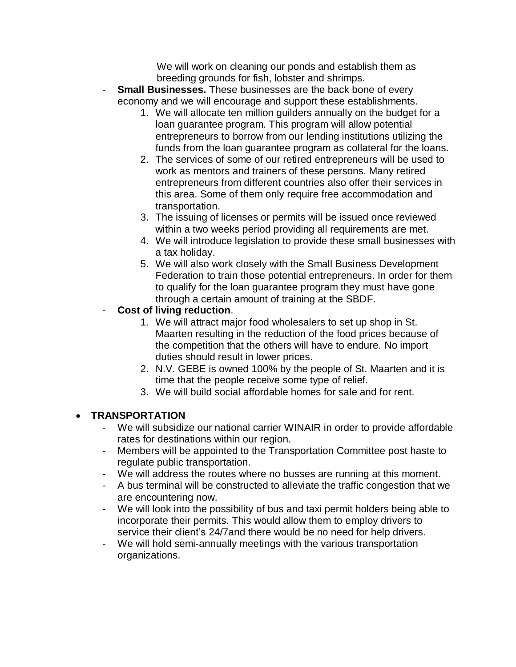We will work on cleaning our ponds and establish them as breeding grounds for fish, lobster and shrimps.

- **Small Businesses.** These businesses are the back bone of every economy and we will encourage and support these establishments.
	- 1. We will allocate ten million guilders annually on the budget for a loan guarantee program. This program will allow potential entrepreneurs to borrow from our lending institutions utilizing the funds from the loan guarantee program as collateral for the loans.
	- 2. The services of some of our retired entrepreneurs will be used to work as mentors and trainers of these persons. Many retired entrepreneurs from different countries also offer their services in this area. Some of them only require free accommodation and transportation.
	- 3. The issuing of licenses or permits will be issued once reviewed within a two weeks period providing all requirements are met.
	- 4. We will introduce legislation to provide these small businesses with a tax holiday.
	- 5. We will also work closely with the Small Business Development Federation to train those potential entrepreneurs. In order for them to qualify for the loan guarantee program they must have gone through a certain amount of training at the SBDF.

## - **Cost of living reduction**.

- 1. We will attract major food wholesalers to set up shop in St. Maarten resulting in the reduction of the food prices because of the competition that the others will have to endure. No import duties should result in lower prices.
- 2. N.V. GEBE is owned 100% by the people of St. Maarten and it is time that the people receive some type of relief.
- 3. We will build social affordable homes for sale and for rent.

## **TRANSPORTATION**

- We will subsidize our national carrier WINAIR in order to provide affordable rates for destinations within our region.
- Members will be appointed to the Transportation Committee post haste to regulate public transportation.
- We will address the routes where no busses are running at this moment.
- A bus terminal will be constructed to alleviate the traffic congestion that we are encountering now.
- We will look into the possibility of bus and taxi permit holders being able to incorporate their permits. This would allow them to employ drivers to service their client's 24/7and there would be no need for help drivers.
- We will hold semi-annually meetings with the various transportation organizations.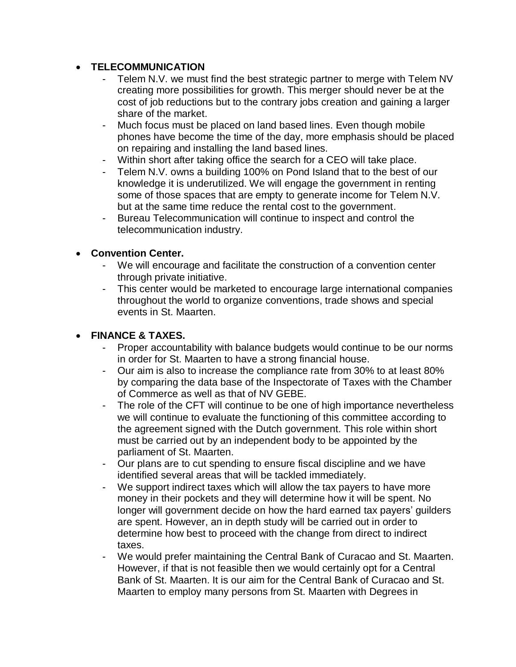## **TELECOMMUNICATION**

- Telem N.V. we must find the best strategic partner to merge with Telem NV creating more possibilities for growth. This merger should never be at the cost of job reductions but to the contrary jobs creation and gaining a larger share of the market.
- Much focus must be placed on land based lines. Even though mobile phones have become the time of the day, more emphasis should be placed on repairing and installing the land based lines.
- Within short after taking office the search for a CEO will take place.
- Telem N.V. owns a building 100% on Pond Island that to the best of our knowledge it is underutilized. We will engage the government in renting some of those spaces that are empty to generate income for Telem N.V. but at the same time reduce the rental cost to the government.
- Bureau Telecommunication will continue to inspect and control the telecommunication industry.

## **Convention Center.**

- We will encourage and facilitate the construction of a convention center through private initiative.
- This center would be marketed to encourage large international companies throughout the world to organize conventions, trade shows and special events in St. Maarten.

## **FINANCE & TAXES.**

- Proper accountability with balance budgets would continue to be our norms in order for St. Maarten to have a strong financial house.
- Our aim is also to increase the compliance rate from 30% to at least 80% by comparing the data base of the Inspectorate of Taxes with the Chamber of Commerce as well as that of NV GEBE.
- The role of the CFT will continue to be one of high importance nevertheless we will continue to evaluate the functioning of this committee according to the agreement signed with the Dutch government. This role within short must be carried out by an independent body to be appointed by the parliament of St. Maarten.
- Our plans are to cut spending to ensure fiscal discipline and we have identified several areas that will be tackled immediately.
- We support indirect taxes which will allow the tax payers to have more money in their pockets and they will determine how it will be spent. No longer will government decide on how the hard earned tax payers' guilders are spent. However, an in depth study will be carried out in order to determine how best to proceed with the change from direct to indirect taxes.
- We would prefer maintaining the Central Bank of Curacao and St. Maarten. However, if that is not feasible then we would certainly opt for a Central Bank of St. Maarten. It is our aim for the Central Bank of Curacao and St. Maarten to employ many persons from St. Maarten with Degrees in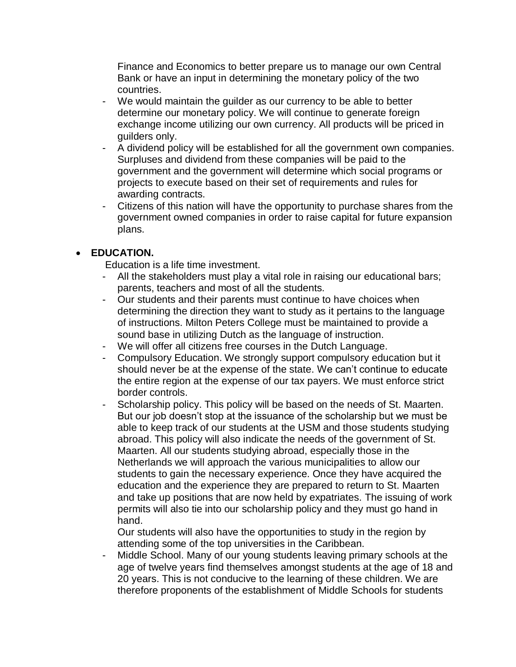Finance and Economics to better prepare us to manage our own Central Bank or have an input in determining the monetary policy of the two countries.

- We would maintain the guilder as our currency to be able to better determine our monetary policy. We will continue to generate foreign exchange income utilizing our own currency. All products will be priced in guilders only.
- A dividend policy will be established for all the government own companies. Surpluses and dividend from these companies will be paid to the government and the government will determine which social programs or projects to execute based on their set of requirements and rules for awarding contracts.
- Citizens of this nation will have the opportunity to purchase shares from the government owned companies in order to raise capital for future expansion plans.

## **EDUCATION.**

Education is a life time investment.

- All the stakeholders must play a vital role in raising our educational bars; parents, teachers and most of all the students.
- Our students and their parents must continue to have choices when determining the direction they want to study as it pertains to the language of instructions. Milton Peters College must be maintained to provide a sound base in utilizing Dutch as the language of instruction.
- We will offer all citizens free courses in the Dutch Language.
- Compulsory Education. We strongly support compulsory education but it should never be at the expense of the state. We can't continue to educate the entire region at the expense of our tax payers. We must enforce strict border controls.
- Scholarship policy. This policy will be based on the needs of St. Maarten. But our job doesn't stop at the issuance of the scholarship but we must be able to keep track of our students at the USM and those students studying abroad. This policy will also indicate the needs of the government of St. Maarten. All our students studying abroad, especially those in the Netherlands we will approach the various municipalities to allow our students to gain the necessary experience. Once they have acquired the education and the experience they are prepared to return to St. Maarten and take up positions that are now held by expatriates. The issuing of work permits will also tie into our scholarship policy and they must go hand in hand.

Our students will also have the opportunities to study in the region by attending some of the top universities in the Caribbean.

Middle School. Many of our young students leaving primary schools at the age of twelve years find themselves amongst students at the age of 18 and 20 years. This is not conducive to the learning of these children. We are therefore proponents of the establishment of Middle Schools for students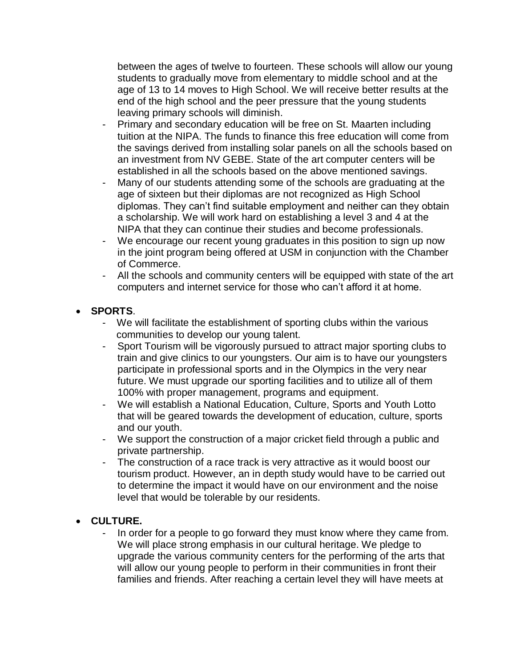between the ages of twelve to fourteen. These schools will allow our young students to gradually move from elementary to middle school and at the age of 13 to 14 moves to High School. We will receive better results at the end of the high school and the peer pressure that the young students leaving primary schools will diminish.

- Primary and secondary education will be free on St. Maarten including tuition at the NIPA. The funds to finance this free education will come from the savings derived from installing solar panels on all the schools based on an investment from NV GEBE. State of the art computer centers will be established in all the schools based on the above mentioned savings.
- Many of our students attending some of the schools are graduating at the age of sixteen but their diplomas are not recognized as High School diplomas. They can't find suitable employment and neither can they obtain a scholarship. We will work hard on establishing a level 3 and 4 at the NIPA that they can continue their studies and become professionals.
- We encourage our recent young graduates in this position to sign up now in the joint program being offered at USM in conjunction with the Chamber of Commerce.
- All the schools and community centers will be equipped with state of the art computers and internet service for those who can't afford it at home.

## **SPORTS**.

- We will facilitate the establishment of sporting clubs within the various communities to develop our young talent.
- Sport Tourism will be vigorously pursued to attract major sporting clubs to train and give clinics to our youngsters. Our aim is to have our youngsters participate in professional sports and in the Olympics in the very near future. We must upgrade our sporting facilities and to utilize all of them 100% with proper management, programs and equipment.
- We will establish a National Education, Culture, Sports and Youth Lotto that will be geared towards the development of education, culture, sports and our youth.
- We support the construction of a major cricket field through a public and private partnership.
- The construction of a race track is very attractive as it would boost our tourism product. However, an in depth study would have to be carried out to determine the impact it would have on our environment and the noise level that would be tolerable by our residents.

## **CULTURE.**

In order for a people to go forward they must know where they came from. We will place strong emphasis in our cultural heritage. We pledge to upgrade the various community centers for the performing of the arts that will allow our young people to perform in their communities in front their families and friends. After reaching a certain level they will have meets at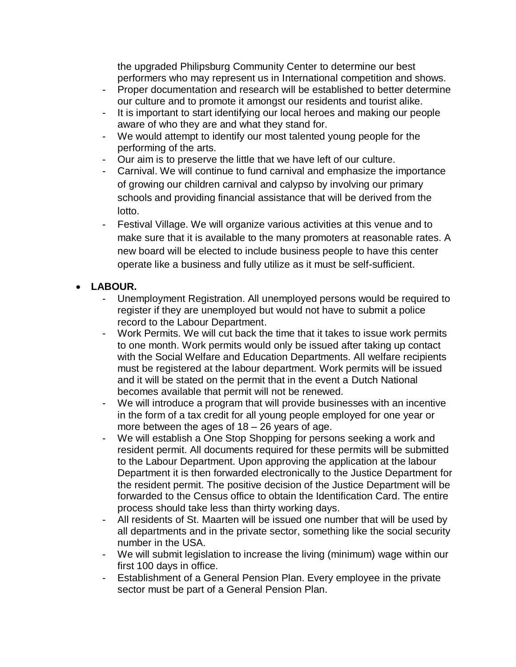the upgraded Philipsburg Community Center to determine our best performers who may represent us in International competition and shows.

- Proper documentation and research will be established to better determine our culture and to promote it amongst our residents and tourist alike.
- It is important to start identifying our local heroes and making our people aware of who they are and what they stand for.
- We would attempt to identify our most talented young people for the performing of the arts.
- Our aim is to preserve the little that we have left of our culture.
- Carnival. We will continue to fund carnival and emphasize the importance of growing our children carnival and calypso by involving our primary schools and providing financial assistance that will be derived from the lotto.
- Festival Village. We will organize various activities at this venue and to make sure that it is available to the many promoters at reasonable rates. A new board will be elected to include business people to have this center operate like a business and fully utilize as it must be self-sufficient.

## **LABOUR.**

- Unemployment Registration. All unemployed persons would be required to register if they are unemployed but would not have to submit a police record to the Labour Department.
- Work Permits. We will cut back the time that it takes to issue work permits to one month. Work permits would only be issued after taking up contact with the Social Welfare and Education Departments. All welfare recipients must be registered at the labour department. Work permits will be issued and it will be stated on the permit that in the event a Dutch National becomes available that permit will not be renewed.
- We will introduce a program that will provide businesses with an incentive in the form of a tax credit for all young people employed for one year or more between the ages of  $18 - 26$  years of age.
- We will establish a One Stop Shopping for persons seeking a work and resident permit. All documents required for these permits will be submitted to the Labour Department. Upon approving the application at the labour Department it is then forwarded electronically to the Justice Department for the resident permit. The positive decision of the Justice Department will be forwarded to the Census office to obtain the Identification Card. The entire process should take less than thirty working days.
- All residents of St. Maarten will be issued one number that will be used by all departments and in the private sector, something like the social security number in the USA.
- We will submit legislation to increase the living (minimum) wage within our first 100 days in office.
- Establishment of a General Pension Plan. Every employee in the private sector must be part of a General Pension Plan.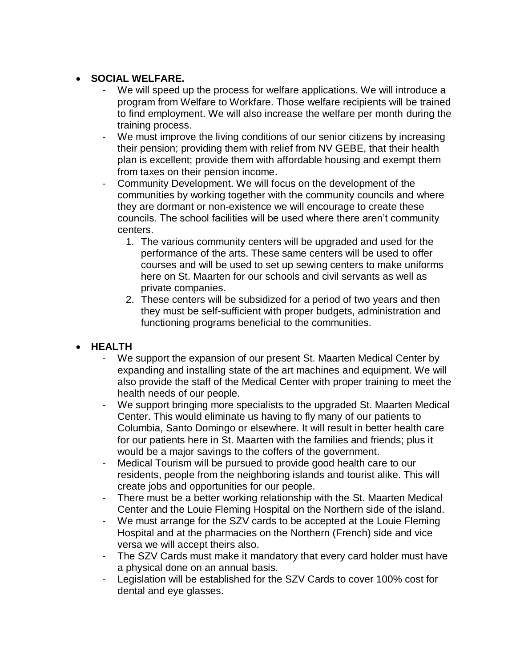## **SOCIAL WELFARE.**

- We will speed up the process for welfare applications. We will introduce a program from Welfare to Workfare. Those welfare recipients will be trained to find employment. We will also increase the welfare per month during the training process.
- We must improve the living conditions of our senior citizens by increasing their pension; providing them with relief from NV GEBE, that their health plan is excellent; provide them with affordable housing and exempt them from taxes on their pension income.
- Community Development. We will focus on the development of the communities by working together with the community councils and where they are dormant or non-existence we will encourage to create these councils. The school facilities will be used where there aren't community centers.
	- 1. The various community centers will be upgraded and used for the performance of the arts. These same centers will be used to offer courses and will be used to set up sewing centers to make uniforms here on St. Maarten for our schools and civil servants as well as private companies.
	- 2. These centers will be subsidized for a period of two years and then they must be self-sufficient with proper budgets, administration and functioning programs beneficial to the communities.

## **HEALTH**

- We support the expansion of our present St. Maarten Medical Center by expanding and installing state of the art machines and equipment. We will also provide the staff of the Medical Center with proper training to meet the health needs of our people.
- We support bringing more specialists to the upgraded St. Maarten Medical Center. This would eliminate us having to fly many of our patients to Columbia, Santo Domingo or elsewhere. It will result in better health care for our patients here in St. Maarten with the families and friends; plus it would be a major savings to the coffers of the government.
- Medical Tourism will be pursued to provide good health care to our residents, people from the neighboring islands and tourist alike. This will create jobs and opportunities for our people.
- There must be a better working relationship with the St. Maarten Medical Center and the Louie Fleming Hospital on the Northern side of the island.
- We must arrange for the SZV cards to be accepted at the Louie Fleming Hospital and at the pharmacies on the Northern (French) side and vice versa we will accept theirs also.
- The SZV Cards must make it mandatory that every card holder must have a physical done on an annual basis.
- Legislation will be established for the SZV Cards to cover 100% cost for dental and eye glasses.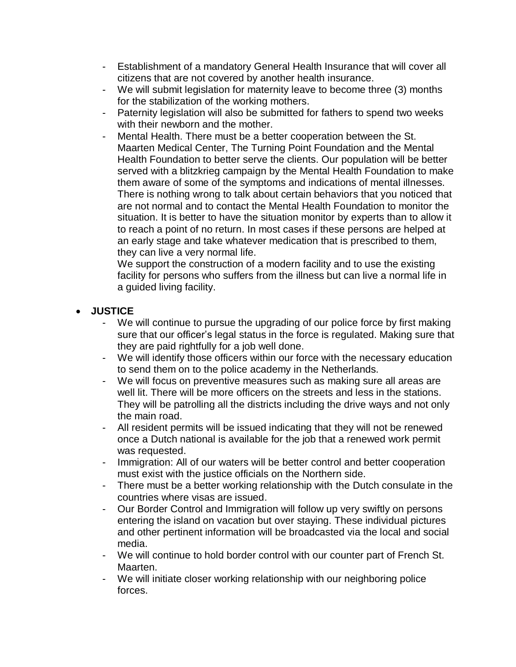- Establishment of a mandatory General Health Insurance that will cover all citizens that are not covered by another health insurance.
- We will submit legislation for maternity leave to become three (3) months for the stabilization of the working mothers.
- Paternity legislation will also be submitted for fathers to spend two weeks with their newborn and the mother.
- Mental Health. There must be a better cooperation between the St. Maarten Medical Center, The Turning Point Foundation and the Mental Health Foundation to better serve the clients. Our population will be better served with a blitzkrieg campaign by the Mental Health Foundation to make them aware of some of the symptoms and indications of mental illnesses. There is nothing wrong to talk about certain behaviors that you noticed that are not normal and to contact the Mental Health Foundation to monitor the situation. It is better to have the situation monitor by experts than to allow it to reach a point of no return. In most cases if these persons are helped at an early stage and take whatever medication that is prescribed to them, they can live a very normal life.

We support the construction of a modern facility and to use the existing facility for persons who suffers from the illness but can live a normal life in a guided living facility.

## **JUSTICE**

- We will continue to pursue the upgrading of our police force by first making sure that our officer's legal status in the force is regulated. Making sure that they are paid rightfully for a job well done.
- We will identify those officers within our force with the necessary education to send them on to the police academy in the Netherlands.
- We will focus on preventive measures such as making sure all areas are well lit. There will be more officers on the streets and less in the stations. They will be patrolling all the districts including the drive ways and not only the main road.
- All resident permits will be issued indicating that they will not be renewed once a Dutch national is available for the job that a renewed work permit was requested.
- Immigration: All of our waters will be better control and better cooperation must exist with the justice officials on the Northern side.
- There must be a better working relationship with the Dutch consulate in the countries where visas are issued.
- Our Border Control and Immigration will follow up very swiftly on persons entering the island on vacation but over staying. These individual pictures and other pertinent information will be broadcasted via the local and social media.
- We will continue to hold border control with our counter part of French St. Maarten.
- We will initiate closer working relationship with our neighboring police forces.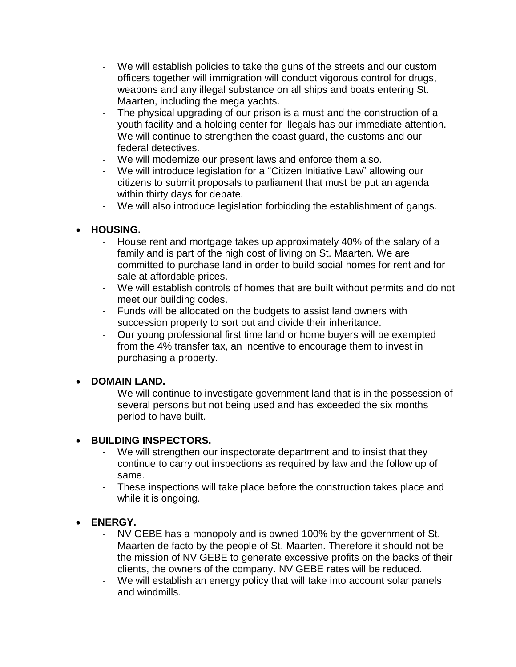- We will establish policies to take the guns of the streets and our custom officers together will immigration will conduct vigorous control for drugs, weapons and any illegal substance on all ships and boats entering St. Maarten, including the mega yachts.
- The physical upgrading of our prison is a must and the construction of a youth facility and a holding center for illegals has our immediate attention.
- We will continue to strengthen the coast guard, the customs and our federal detectives.
- We will modernize our present laws and enforce them also.
- We will introduce legislation for a "Citizen Initiative Law" allowing our citizens to submit proposals to parliament that must be put an agenda within thirty days for debate.
- We will also introduce legislation forbidding the establishment of gangs.

## **HOUSING.**

- House rent and mortgage takes up approximately 40% of the salary of a family and is part of the high cost of living on St. Maarten. We are committed to purchase land in order to build social homes for rent and for sale at affordable prices.
- We will establish controls of homes that are built without permits and do not meet our building codes.
- Funds will be allocated on the budgets to assist land owners with succession property to sort out and divide their inheritance.
- Our young professional first time land or home buyers will be exempted from the 4% transfer tax, an incentive to encourage them to invest in purchasing a property.

## **• DOMAIN LAND.**

We will continue to investigate government land that is in the possession of several persons but not being used and has exceeded the six months period to have built.

## **• BUILDING INSPECTORS.**

- We will strengthen our inspectorate department and to insist that they continue to carry out inspections as required by law and the follow up of same.
- These inspections will take place before the construction takes place and while it is ongoing.

## **ENERGY.**

- NV GEBE has a monopoly and is owned 100% by the government of St. Maarten de facto by the people of St. Maarten. Therefore it should not be the mission of NV GEBE to generate excessive profits on the backs of their clients, the owners of the company. NV GEBE rates will be reduced.
- We will establish an energy policy that will take into account solar panels and windmills.